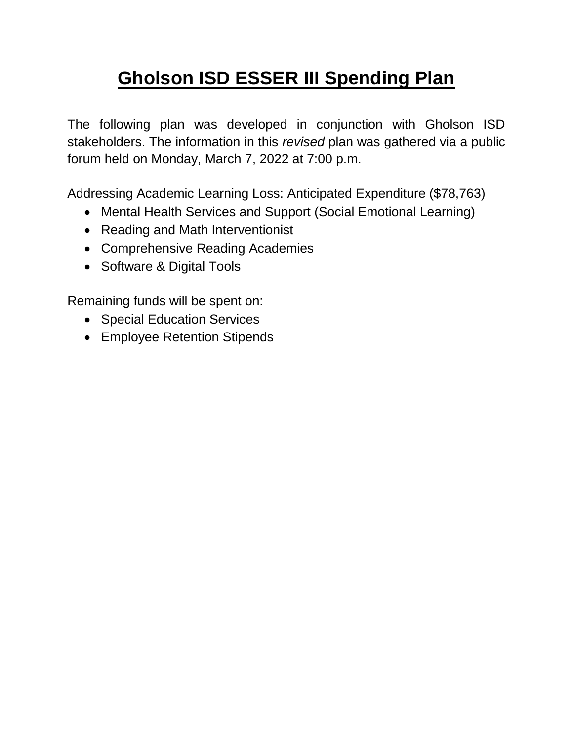## **Gholson ISD ESSER III Spending Plan**

The following plan was developed in conjunction with Gholson ISD stakeholders. The information in this *revised* plan was gathered via a public forum held on Monday, March 7, 2022 at 7:00 p.m.

Addressing Academic Learning Loss: Anticipated Expenditure (\$78,763)

- Mental Health Services and Support (Social Emotional Learning)
- Reading and Math Interventionist
- Comprehensive Reading Academies
- Software & Digital Tools

Remaining funds will be spent on:

- Special Education Services
- Employee Retention Stipends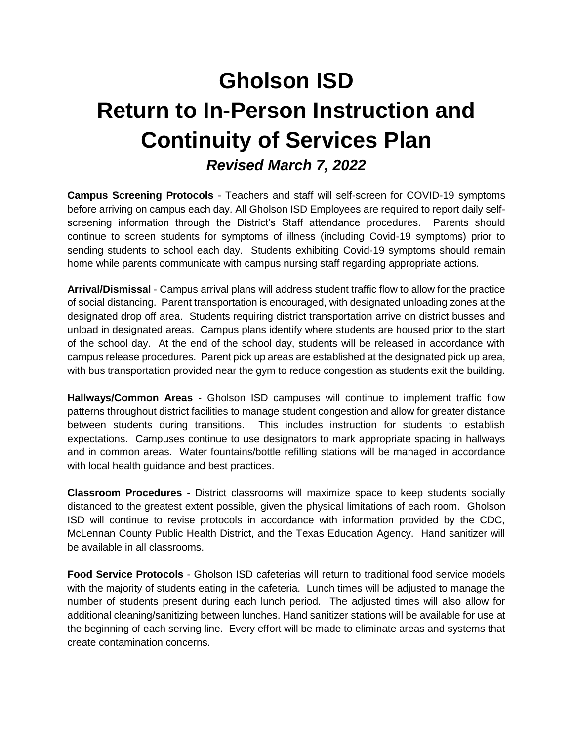## **Gholson ISD Return to In-Person Instruction and Continuity of Services Plan** *Revised March 7, 2022*

**Campus Screening Protocols** - Teachers and staff will self-screen for COVID-19 symptoms before arriving on campus each day. All Gholson ISD Employees are required to report daily selfscreening information through the District's Staff attendance procedures. Parents should continue to screen students for symptoms of illness (including Covid-19 symptoms) prior to sending students to school each day. Students exhibiting Covid-19 symptoms should remain home while parents communicate with campus nursing staff regarding appropriate actions.

**Arrival/Dismissal** - Campus arrival plans will address student traffic flow to allow for the practice of social distancing. Parent transportation is encouraged, with designated unloading zones at the designated drop off area. Students requiring district transportation arrive on district busses and unload in designated areas. Campus plans identify where students are housed prior to the start of the school day. At the end of the school day, students will be released in accordance with campus release procedures. Parent pick up areas are established at the designated pick up area, with bus transportation provided near the gym to reduce congestion as students exit the building.

**Hallways/Common Areas** - Gholson ISD campuses will continue to implement traffic flow patterns throughout district facilities to manage student congestion and allow for greater distance between students during transitions. This includes instruction for students to establish expectations. Campuses continue to use designators to mark appropriate spacing in hallways and in common areas. Water fountains/bottle refilling stations will be managed in accordance with local health guidance and best practices.

**Classroom Procedures** - District classrooms will maximize space to keep students socially distanced to the greatest extent possible, given the physical limitations of each room. Gholson ISD will continue to revise protocols in accordance with information provided by the CDC, McLennan County Public Health District, and the Texas Education Agency. Hand sanitizer will be available in all classrooms.

**Food Service Protocols** - Gholson ISD cafeterias will return to traditional food service models with the majority of students eating in the cafeteria. Lunch times will be adjusted to manage the number of students present during each lunch period. The adjusted times will also allow for additional cleaning/sanitizing between lunches. Hand sanitizer stations will be available for use at the beginning of each serving line. Every effort will be made to eliminate areas and systems that create contamination concerns.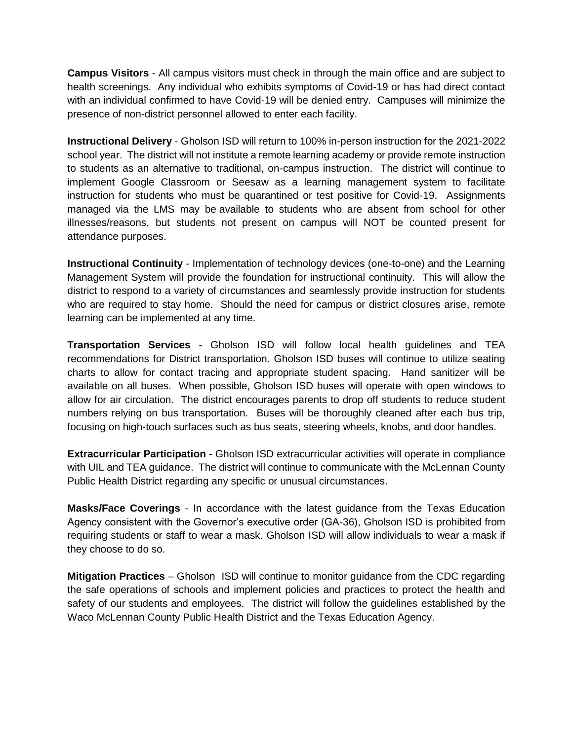**Campus Visitors** - All campus visitors must check in through the main office and are subject to health screenings. Any individual who exhibits symptoms of Covid-19 or has had direct contact with an individual confirmed to have Covid-19 will be denied entry. Campuses will minimize the presence of non-district personnel allowed to enter each facility.

**Instructional Delivery** - Gholson ISD will return to 100% in-person instruction for the 2021-2022 school year. The district will not institute a remote learning academy or provide remote instruction to students as an alternative to traditional, on-campus instruction. The district will continue to implement Google Classroom or Seesaw as a learning management system to facilitate instruction for students who must be quarantined or test positive for Covid-19. Assignments managed via the LMS may be available to students who are absent from school for other illnesses/reasons, but students not present on campus will NOT be counted present for attendance purposes.

**Instructional Continuity** - Implementation of technology devices (one-to-one) and the Learning Management System will provide the foundation for instructional continuity. This will allow the district to respond to a variety of circumstances and seamlessly provide instruction for students who are required to stay home. Should the need for campus or district closures arise, remote learning can be implemented at any time.

**Transportation Services** - Gholson ISD will follow local health guidelines and TEA recommendations for District transportation. Gholson ISD buses will continue to utilize seating charts to allow for contact tracing and appropriate student spacing. Hand sanitizer will be available on all buses. When possible, Gholson ISD buses will operate with open windows to allow for air circulation. The district encourages parents to drop off students to reduce student numbers relying on bus transportation. Buses will be thoroughly cleaned after each bus trip, focusing on high-touch surfaces such as bus seats, steering wheels, knobs, and door handles.

**Extracurricular Participation** - Gholson ISD extracurricular activities will operate in compliance with UIL and TEA guidance. The district will continue to communicate with the McLennan County Public Health District regarding any specific or unusual circumstances.

**Masks/Face Coverings** - In accordance with the latest guidance from the Texas Education Agency consistent with the Governor's executive order (GA-36), Gholson ISD is prohibited from requiring students or staff to wear a mask. Gholson ISD will allow individuals to wear a mask if they choose to do so.

**Mitigation Practices** – Gholson ISD will continue to monitor guidance from the CDC regarding the safe operations of schools and implement policies and practices to protect the health and safety of our students and employees. The district will follow the guidelines established by the Waco McLennan County Public Health District and the Texas Education Agency.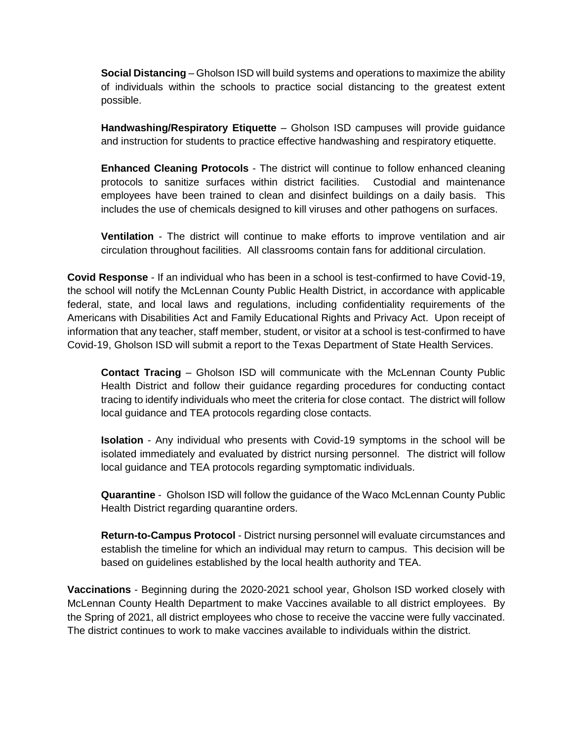**Social Distancing** – Gholson ISD will build systems and operations to maximize the ability of individuals within the schools to practice social distancing to the greatest extent possible.

**Handwashing/Respiratory Etiquette** – Gholson ISD campuses will provide guidance and instruction for students to practice effective handwashing and respiratory etiquette.

**Enhanced Cleaning Protocols** - The district will continue to follow enhanced cleaning protocols to sanitize surfaces within district facilities. Custodial and maintenance employees have been trained to clean and disinfect buildings on a daily basis. This includes the use of chemicals designed to kill viruses and other pathogens on surfaces.

**Ventilation** - The district will continue to make efforts to improve ventilation and air circulation throughout facilities. All classrooms contain fans for additional circulation.

**Covid Response** - If an individual who has been in a school is test-confirmed to have Covid-19, the school will notify the McLennan County Public Health District, in accordance with applicable federal, state, and local laws and regulations, including confidentiality requirements of the Americans with Disabilities Act and Family Educational Rights and Privacy Act. Upon receipt of information that any teacher, staff member, student, or visitor at a school is test-confirmed to have Covid-19, Gholson ISD will submit a report to the Texas Department of State Health Services.

**Contact Tracing** – Gholson ISD will communicate with the McLennan County Public Health District and follow their guidance regarding procedures for conducting contact tracing to identify individuals who meet the criteria for close contact. The district will follow local guidance and TEA protocols regarding close contacts.

**Isolation** - Any individual who presents with Covid-19 symptoms in the school will be isolated immediately and evaluated by district nursing personnel. The district will follow local guidance and TEA protocols regarding symptomatic individuals.

**Quarantine** - Gholson ISD will follow the guidance of the Waco McLennan County Public Health District regarding quarantine orders.

**Return-to-Campus Protocol** - District nursing personnel will evaluate circumstances and establish the timeline for which an individual may return to campus. This decision will be based on guidelines established by the local health authority and TEA.

**Vaccinations** - Beginning during the 2020-2021 school year, Gholson ISD worked closely with McLennan County Health Department to make Vaccines available to all district employees. By the Spring of 2021, all district employees who chose to receive the vaccine were fully vaccinated. The district continues to work to make vaccines available to individuals within the district.